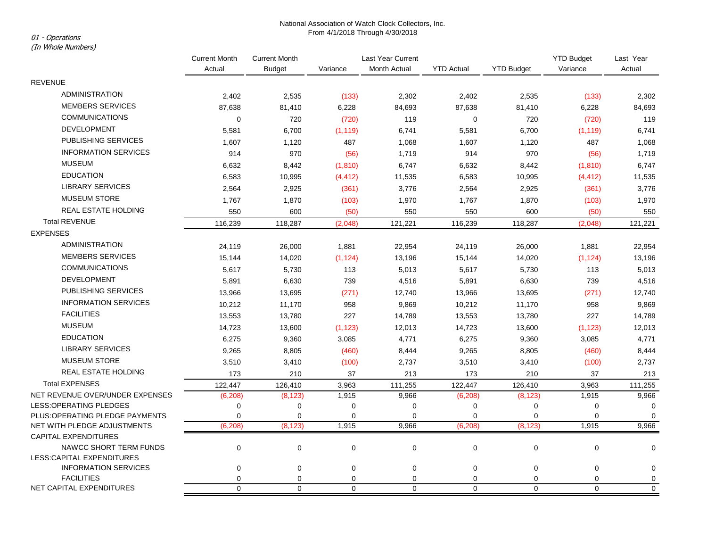# National Association of Watch Clock Collectors, Inc. From 4/1/2018 Through 4/30/2018 01 - Operations

(In Whole Numbers)

|                                                            | <b>Current Month</b><br>Actual | <b>Current Month</b> |             | Last Year Current |                   |                   | <b>YTD Budget</b> | Last Year   |
|------------------------------------------------------------|--------------------------------|----------------------|-------------|-------------------|-------------------|-------------------|-------------------|-------------|
|                                                            |                                | <b>Budget</b>        | Variance    | Month Actual      | <b>YTD Actual</b> | <b>YTD Budget</b> | Variance          | Actual      |
| <b>REVENUE</b>                                             |                                |                      |             |                   |                   |                   |                   |             |
| <b>ADMINISTRATION</b>                                      | 2,402                          | 2,535                | (133)       | 2,302             | 2,402             | 2,535             | (133)             | 2,302       |
| <b>MEMBERS SERVICES</b>                                    | 87,638                         | 81,410               | 6,228       | 84,693            | 87,638            | 81,410            | 6,228             | 84,693      |
| <b>COMMUNICATIONS</b>                                      | $\mathbf 0$                    | 720                  | (720)       | 119               | $\mathbf 0$       | 720               | (720)             | 119         |
| <b>DEVELOPMENT</b>                                         | 5,581                          | 6,700                | (1, 119)    | 6,741             | 5,581             | 6,700             | (1, 119)          | 6,741       |
| PUBLISHING SERVICES                                        | 1,607                          | 1,120                | 487         | 1,068             | 1,607             | 1,120             | 487               | 1,068       |
| <b>INFORMATION SERVICES</b>                                | 914                            | 970                  | (56)        | 1,719             | 914               | 970               | (56)              | 1,719       |
| <b>MUSEUM</b>                                              | 6,632                          | 8,442                | (1, 810)    | 6,747             | 6,632             | 8,442             | (1, 810)          | 6,747       |
| <b>EDUCATION</b>                                           | 6,583                          | 10,995               | (4, 412)    | 11,535            | 6,583             | 10,995            | (4, 412)          | 11,535      |
| <b>LIBRARY SERVICES</b>                                    | 2,564                          | 2,925                | (361)       | 3,776             | 2,564             | 2,925             | (361)             | 3,776       |
| <b>MUSEUM STORE</b>                                        | 1,767                          | 1,870                | (103)       | 1,970             | 1,767             | 1,870             | (103)             | 1,970       |
| REAL ESTATE HOLDING                                        | 550                            | 600                  | (50)        | 550               | 550               | 600               | (50)              | 550         |
| <b>Total REVENUE</b>                                       | 116,239                        | 118,287              | (2,048)     | 121,221           | 116,239           | 118,287           | (2,048)           | 121,221     |
| <b>EXPENSES</b>                                            |                                |                      |             |                   |                   |                   |                   |             |
| <b>ADMINISTRATION</b>                                      | 24,119                         | 26,000               | 1,881       | 22,954            | 24,119            | 26,000            | 1,881             | 22,954      |
| <b>MEMBERS SERVICES</b>                                    | 15,144                         | 14,020               | (1, 124)    | 13,196            | 15,144            | 14,020            | (1, 124)          | 13,196      |
| <b>COMMUNICATIONS</b>                                      | 5,617                          | 5,730                | 113         | 5,013             | 5,617             | 5,730             | 113               | 5,013       |
| <b>DEVELOPMENT</b>                                         | 5,891                          | 6,630                | 739         | 4,516             | 5,891             | 6,630             | 739               | 4,516       |
| PUBLISHING SERVICES                                        | 13,966                         | 13,695               | (271)       | 12,740            | 13,966            | 13,695            | (271)             | 12,740      |
| <b>INFORMATION SERVICES</b>                                | 10,212                         | 11,170               | 958         | 9,869             | 10,212            | 11,170            | 958               | 9,869       |
| <b>FACILITIES</b>                                          | 13,553                         | 13,780               | 227         | 14,789            | 13,553            | 13,780            | 227               | 14,789      |
| <b>MUSEUM</b>                                              | 14,723                         | 13,600               | (1, 123)    | 12,013            | 14,723            | 13,600            | (1, 123)          | 12,013      |
| <b>EDUCATION</b>                                           | 6,275                          | 9,360                | 3,085       | 4,771             | 6,275             | 9,360             | 3,085             | 4,771       |
| <b>LIBRARY SERVICES</b>                                    | 9,265                          | 8,805                | (460)       | 8,444             | 9,265             | 8,805             | (460)             | 8,444       |
| <b>MUSEUM STORE</b>                                        | 3,510                          | 3,410                | (100)       | 2,737             | 3,510             | 3,410             | (100)             | 2,737       |
| <b>REAL ESTATE HOLDING</b>                                 | 173                            | 210                  | 37          | 213               | 173               | 210               | 37                | 213         |
| <b>Total EXPENSES</b>                                      | 122,447                        | 126,410              | 3,963       | 111,255           | 122,447           | 126,410           | 3,963             | 111,255     |
| NET REVENUE OVER/UNDER EXPENSES                            | (6, 208)                       | (8, 123)             | 1,915       | 9,966             | (6, 208)          | (8, 123)          | 1,915             | 9,966       |
| LESS: OPERATING PLEDGES                                    | 0                              | $\mathbf 0$          | $\pmb{0}$   | $\pmb{0}$         | 0                 | 0                 | $\mathbf 0$       | $\mathbf 0$ |
| PLUS: OPERATING PLEDGE PAYMENTS                            | $\mathbf 0$                    | $\mathbf 0$          | $\mathbf 0$ | $\mathbf 0$       | 0                 | 0                 | $\mathbf 0$       | $\mathbf 0$ |
| NET WITH PLEDGE ADJUSTMENTS<br><b>CAPITAL EXPENDITURES</b> | (6, 208)                       | (8, 123)             | 1,915       | 9,966             | (6, 208)          | (8, 123)          | 1,915             | 9,966       |
| NAWCC SHORT TERM FUNDS                                     | $\mathbf 0$                    | 0                    | $\mathbf 0$ | $\mathbf 0$       | $\mathbf 0$       | 0                 | $\mathbf 0$       | $\mathbf 0$ |
| LESS:CAPITAL EXPENDITURES                                  |                                |                      |             |                   |                   |                   |                   |             |
| <b>INFORMATION SERVICES</b>                                | $\mathbf 0$                    | 0                    | 0           | 0                 | $\mathbf 0$       | $\pmb{0}$         | $\mathbf 0$       | 0           |
| <b>FACILITIES</b>                                          | $\mathbf 0$                    | 0                    | 0           | 0                 | 0                 | 0                 | $\mathbf 0$       | $\pmb{0}$   |
| NET CAPITAL EXPENDITURES                                   | $\mathbf 0$                    | $\mathbf 0$          | $\mathbf 0$ | $\Omega$          | 0                 | $\mathbf 0$       | $\mathbf 0$       | $\mathbf 0$ |